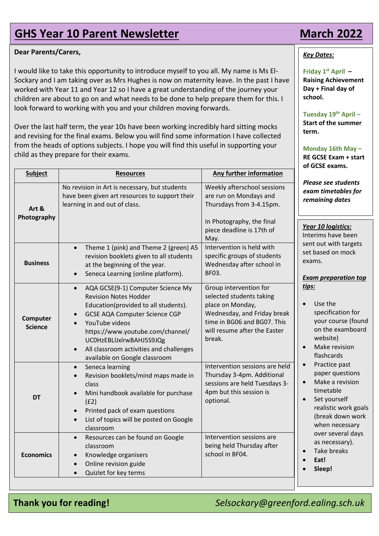# **GHS Year 10 Parent Newsletter March 2022**

## **Dear Parents/Carers,**

I would like to take this opportunity to introduce myself to you all. My name is Ms El-Sockary and I am taking over as Mrs Hughes is now on maternity leave. In the past I have worked with Year 11 and Year 12 so I have a great understanding of the journey your children are about to go on and what needs to be done to help prepare them for this. I look forward to working with you and your children moving forwards.

Over the last half term, the year 10s have been working incredibly hard sitting mocks and revising for the final exams. Below you will find some information I have collected from the heads of options subjects. I hope you will find this useful in supporting your child as they prepare for their exams.

| <b>Subject</b>             | <b>Resources</b>                                                                                                                                                                                                                                                                                                                          | Any further information                                                                                                                                                        |
|----------------------------|-------------------------------------------------------------------------------------------------------------------------------------------------------------------------------------------------------------------------------------------------------------------------------------------------------------------------------------------|--------------------------------------------------------------------------------------------------------------------------------------------------------------------------------|
| Art &<br>Photography       | No revision in Art is necessary, but students<br>have been given art resources to support their<br>learning in and out of class.                                                                                                                                                                                                          | Weekly afterschool sessions<br>are run on Mondays and<br>Thursdays from 3-4.15pm.<br>In Photography, the final<br>piece deadline is 17th of<br>May.                            |
| <b>Business</b>            | Theme 1 (pink) and Theme 2 (green) A5<br>$\bullet$<br>revision booklets given to all students<br>at the beginning of the year.<br>Seneca Learning (online platform).<br>$\bullet$                                                                                                                                                         | Intervention is held with<br>specific groups of students<br>Wednesday after school in<br>BF03.                                                                                 |
| Computer<br><b>Science</b> | AQA GCSE(9-1) Computer Science My<br>$\bullet$<br><b>Revision Notes Hodder</b><br>Education(provided to all students).<br><b>GCSE AQA Computer Science CGP</b><br>YouTube videos<br>https://www.youtube.com/channel/<br>UC0HzEBLlJxlrwBAHJ5S9JQg<br>All classroom activities and challenges<br>$\bullet$<br>available on Google classroom | Group intervention for<br>selected students taking<br>place on Monday,<br>Wednesday, and Friday break<br>time in BG06 and BG07. This<br>will resume after the Easter<br>break. |
| <b>DT</b>                  | Seneca learning<br>$\bullet$<br>Revision booklets/mind maps made in<br>class<br>Mini handbook available for purchase<br>(E2)<br>Printed pack of exam questions<br>$\bullet$<br>List of topics will be posted on Google<br>$\bullet$<br>classroom                                                                                          | Intervention sessions are held<br>Thursday 3-4pm. Additional<br>sessions are held Tuesdays 3-<br>4pm but this session is<br>optional.                                          |
| <b>Economics</b>           | Resources can be found on Google<br>$\bullet$<br>classroom<br>Knowledge organisers<br>Online revision guide<br>Quizlet for key terms<br>$\bullet$                                                                                                                                                                                         | Intervention sessions are<br>being held Thursday after<br>school in BF04.                                                                                                      |

### *Key Dates:*

**Friday 1st April – Raising Achievement Day + Final day of school.** 

**Tuesday 19th April – Start of the summer term.**

**Monday 16th May – RE GCSE Exam + start of GCSE exams.**

*Please see students exam timetables for remaining dates*

*Year 10 logistics:* Interims have been sent out with targets set based on mock exams.

### *Exam preparation top tips:*

- Use the specification for your course (found on the examboard website)
- Make revision flashcards
- Practice past paper questions
- Make a revision timetable
- Set yourself realistic work goals (break down work when necessary over several days as necessary).
- Take breaks
- **Eat!**
- **Sleep!**

**Thank you for reading!** *Selsockary@greenford.ealing.sch.uk*